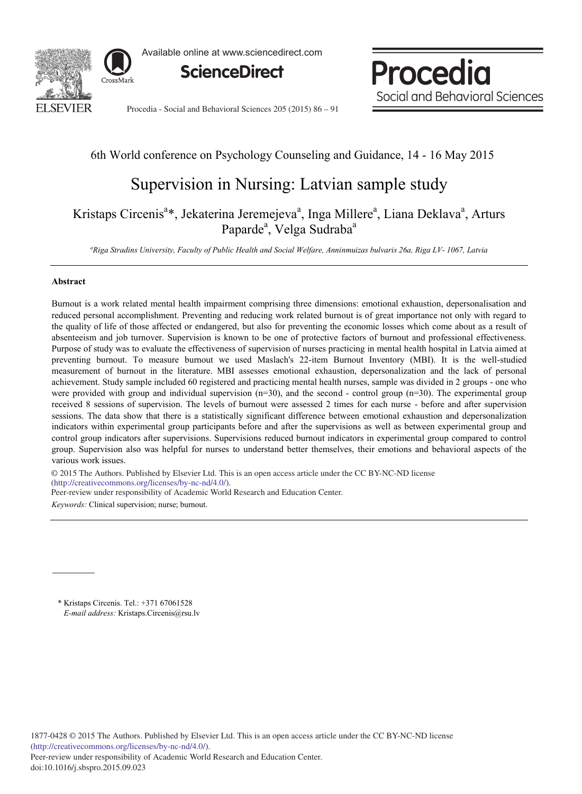

Available online at www.sciencedirect.com



Procedia Social and Behavioral Sciences

Procedia - Social and Behavioral Sciences 205 (2015) 86 – 91

# 6th World conference on Psychology Counseling and Guidance, 14 - 16 May 2015

# Supervision in Nursing: Latvian sample study

Kristaps Circenis<sup>a\*</sup>, Jekaterina Jeremejeva<sup>a</sup>, Inga Millere<sup>a</sup>, Liana Deklava<sup>a</sup>, Arturs Paparde<sup>a</sup>, Velga Sudraba<sup>a</sup>

*a Riga Stradins University, Faculty of Public Health and Social Welfare, Anninmuizas bulvaris 26a, Riga LV- 1067, Latvia*

#### **Abstract**

Burnout is a work related mental health impairment comprising three dimensions: emotional exhaustion, depersonalisation and reduced personal accomplishment. Preventing and reducing work related burnout is of great importance not only with regard to the quality of life of those affected or endangered, but also for preventing the economic losses which come about as a result of absenteeism and job turnover. Supervision is known to be one of protective factors of burnout and professional effectiveness. Purpose of study was to evaluate the effectiveness of supervision of nurses practicing in mental health hospital in Latvia aimed at preventing burnout. To measure burnout we used Maslach's 22-item Burnout Inventory (MBI). It is the well-studied measurement of burnout in the literature. MBI assesses emotional exhaustion, depersonalization and the lack of personal achievement. Study sample included 60 registered and practicing mental health nurses, sample was divided in 2 groups - one who were provided with group and individual supervision  $(n=30)$ , and the second - control group  $(n=30)$ . The experimental group received 8 sessions of supervision. The levels of burnout were assessed 2 times for each nurse - before and after supervision sessions. The data show that there is a statistically significant difference between emotional exhaustion and depersonalization indicators within experimental group participants before and after the supervisions as well as between experimental group and control group indicators after supervisions. Supervisions reduced burnout indicators in experimental group compared to control group. Supervision also was helpful for nurses to understand better themselves, their emotions and behavioral aspects of the various work issues.

© 2015 The Authors. Published by Elsevier Ltd. © 2015 The Authors. Published by Elsevier Ltd. This is an open access article under the CC BY-NC-ND license (http://creativecommons.org/licenses/by-nc-nd/4.0/). Peer-review under responsibility of Academic World Research and Education Center.

*Keywords:* Clinical supervision; nurse; burnout.

\* Kristaps Circenis. Tel.: +371 67061528 *E-mail address:* Kristaps.Circenis@rsu.lv

1877-0428 © 2015 The Authors. Published by Elsevier Ltd. This is an open access article under the CC BY-NC-ND license (http://creativecommons.org/licenses/by-nc-nd/4.0/).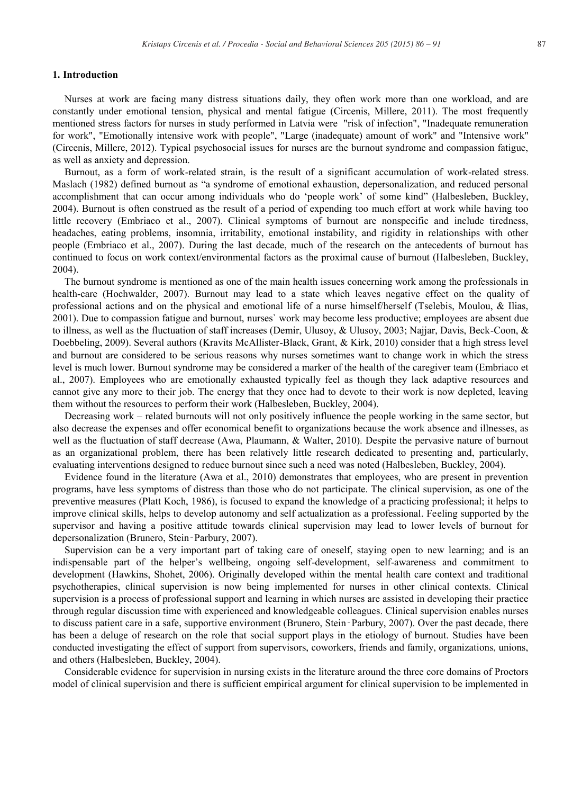## **1. Introduction**

Nurses at work are facing many distress situations daily, they often work more than one workload, and are constantly under emotional tension, physical and mental fatigue (Circenis, Millere, 2011). The most frequently mentioned stress factors for nurses in study performed in Latvia were "risk of infection", "Inadequate remuneration for work", "Emotionally intensive work with people", "Large (inadequate) amount of work" and "Intensive work" (Circenis, Millere, 2012). Typical psychosocial issues for nurses are the burnout syndrome and compassion fatigue, as well as anxiety and depression.

Burnout, as a form of work-related strain, is the result of a significant accumulation of work-related stress. Maslach (1982) defined burnout as "a syndrome of emotional exhaustion, depersonalization, and reduced personal accomplishment that can occur among individuals who do 'people work' of some kind" (Halbesleben, Buckley, 2004). Burnout is often construed as the result of a period of expending too much effort at work while having too little recovery (Embriaco et al., 2007). Clinical symptoms of burnout are nonspecific and include tiredness, headaches, eating problems, insomnia, irritability, emotional instability, and rigidity in relationships with other people (Embriaco et al., 2007). During the last decade, much of the research on the antecedents of burnout has continued to focus on work context/environmental factors as the proximal cause of burnout (Halbesleben, Buckley, 2004).

The burnout syndrome is mentioned as one of the main health issues concerning work among the professionals in health-care (Hochwalder, 2007). Burnout may lead to a state which leaves negative effect on the quality of professional actions and on the physical and emotional life of a nurse himself/herself (Tselebis, Moulou, & Ilias, 2001). Due to compassion fatigue and burnout, nurses` work may become less productive; employees are absent due to illness, as well as the fluctuation of staff increases (Demir, Ulusoy, & Ulusoy, 2003; Najjar, Davis, Beck-Coon, & Doebbeling, 2009). Several authors (Kravits McAllister-Black, Grant, & Kirk, 2010) consider that a high stress level and burnout are considered to be serious reasons why nurses sometimes want to change work in which the stress level is much lower. Burnout syndrome may be considered a marker of the health of the caregiver team (Embriaco et al., 2007). Employees who are emotionally exhausted typically feel as though they lack adaptive resources and cannot give any more to their job. The energy that they once had to devote to their work is now depleted, leaving them without the resources to perform their work (Halbesleben, Buckley, 2004).

Decreasing work – related burnouts will not only positively influence the people working in the same sector, but also decrease the expenses and offer economical benefit to organizations because the work absence and illnesses, as well as the fluctuation of staff decrease (Awa, Plaumann, & Walter, 2010). Despite the pervasive nature of burnout as an organizational problem, there has been relatively little research dedicated to presenting and, particularly, evaluating interventions designed to reduce burnout since such a need was noted (Halbesleben, Buckley, 2004).

Evidence found in the literature (Awa et al., 2010) demonstrates that employees, who are present in prevention programs, have less symptoms of distress than those who do not participate. The clinical supervision, as one of the preventive measures (Platt Koch, 1986), is focused to expand the knowledge of a practicing professional; it helps to improve clinical skills, helps to develop autonomy and self actualization as a professional. Feeling supported by the supervisor and having a positive attitude towards clinical supervision may lead to lower levels of burnout for depersonalization (Brunero, Stein-Parbury, 2007).

Supervision can be a very important part of taking care of oneself, staying open to new learning; and is an indispensable part of the helper's wellbeing, ongoing self-development, self-awareness and commitment to development (Hawkins, Shohet, 2006). Originally developed within the mental health care context and traditional psychotherapies, clinical supervision is now being implemented for nurses in other clinical contexts. Clinical supervision is a process of professional support and learning in which nurses are assisted in developing their practice through regular discussion time with experienced and knowledgeable colleagues. Clinical supervision enables nurses to discuss patient care in a safe, supportive environment (Brunero, Stein-Parbury, 2007). Over the past decade, there has been a deluge of research on the role that social support plays in the etiology of burnout. Studies have been conducted investigating the effect of support from supervisors, coworkers, friends and family, organizations, unions, and others (Halbesleben, Buckley, 2004).

Considerable evidence for supervision in nursing exists in the literature around the three core domains of Proctors model of clinical supervision and there is sufficient empirical argument for clinical supervision to be implemented in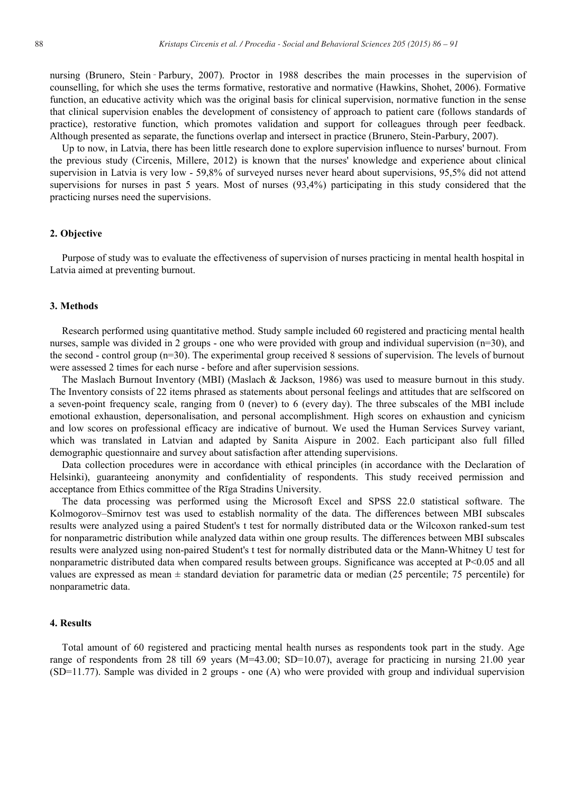nursing (Brunero, Stein - Parbury, 2007). Proctor in 1988 describes the main processes in the supervision of counselling, for which she uses the terms formative, restorative and normative (Hawkins, Shohet, 2006). Formative function, an educative activity which was the original basis for clinical supervision, normative function in the sense that clinical supervision enables the development of consistency of approach to patient care (follows standards of practice), restorative function, which promotes validation and support for colleagues through peer feedback. Although presented as separate, the functions overlap and intersect in practice (Brunero, Stein-Parbury, 2007).

Up to now, in Latvia, there has been little research done to explore supervision influence to nurses' burnout. From the previous study (Circenis, Millere, 2012) is known that the nurses' knowledge and experience about clinical supervision in Latvia is very low - 59,8% of surveyed nurses never heard about supervisions, 95,5% did not attend supervisions for nurses in past 5 years. Most of nurses (93,4%) participating in this study considered that the practicing nurses need the supervisions.

# **2. Objective**

Purpose of study was to evaluate the effectiveness of supervision of nurses practicing in mental health hospital in Latvia aimed at preventing burnout.

## **3. Methods**

Research performed using quantitative method. Study sample included 60 registered and practicing mental health nurses, sample was divided in 2 groups - one who were provided with group and individual supervision (n=30), and the second - control group (n=30). The experimental group received 8 sessions of supervision. The levels of burnout were assessed 2 times for each nurse - before and after supervision sessions.

The Maslach Burnout Inventory (MBI) (Maslach & Jackson, 1986) was used to measure burnout in this study. The Inventory consists of 22 items phrased as statements about personal feelings and attitudes that are selfscored on a seven-point frequency scale, ranging from 0 (never) to 6 (every day). The three subscales of the MBI include emotional exhaustion, depersonalisation, and personal accomplishment. High scores on exhaustion and cynicism and low scores on professional efficacy are indicative of burnout. We used the Human Services Survey variant, which was translated in Latvian and adapted by Sanita Aispure in 2002. Each participant also full filled demographic questionnaire and survey about satisfaction after attending supervisions.

Data collection procedures were in accordance with ethical principles (in accordance with the Declaration of Helsinki), guaranteeing anonymity and confidentiality of respondents. This study received permission and acceptance from Ethics committee of the Rīga Stradins University.

The data processing was performed using the Microsoft Excel and SPSS 22.0 statistical software. The Kolmogorov–Smirnov test was used to establish normality of the data. The differences between MBI subscales results were analyzed using a paired Student's t test for normally distributed data or the Wilcoxon ranked-sum test for nonparametric distribution while analyzed data within one group results. The differences between MBI subscales results were analyzed using non-paired Student's t test for normally distributed data or the Mann-Whitney U test for nonparametric distributed data when compared results between groups. Significance was accepted at P<0.05 and all values are expressed as mean  $\pm$  standard deviation for parametric data or median (25 percentile; 75 percentile) for nonparametric data.

#### **4. Results**

Total amount of 60 registered and practicing mental health nurses as respondents took part in the study. Age range of respondents from 28 till 69 years (M=43.00; SD=10.07), average for practicing in nursing 21.00 year (SD=11.77). Sample was divided in 2 groups - one (A) who were provided with group and individual supervision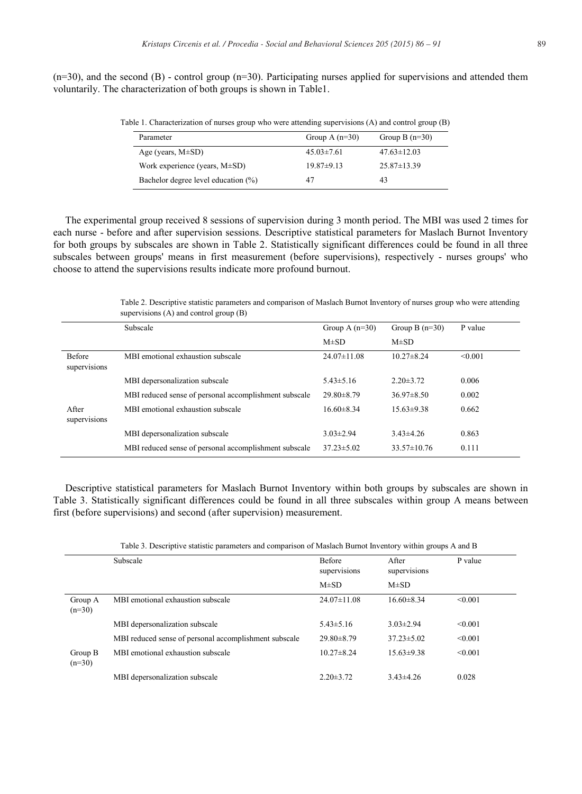$(n=30)$ , and the second  $(B)$  - control group  $(n=30)$ . Participating nurses applied for supervisions and attended them voluntarily. The characterization of both groups is shown in Table1.

Table 1. Characterization of nurses group who were attending supervisions (A) and control group (B)

| Parameter                           | Group A $(n=30)$ | Group B $(n=30)$  |
|-------------------------------------|------------------|-------------------|
| Age (years, $M\pm SD$ )             | $45.03 \pm 7.61$ | $47.63 \pm 12.03$ |
| Work experience (years, $M\pm SD$ ) | $19.87\pm9.13$   | $25.87\pm13.39$   |
| Bachelor degree level education (%) | 47               | 43                |

The experimental group received 8 sessions of supervision during 3 month period. The MBI was used 2 times for each nurse - before and after supervision sessions. Descriptive statistical parameters for Maslach Burnot Inventory for both groups by subscales are shown in Table 2. Statistically significant differences could be found in all three subscales between groups' means in first measurement (before supervisions), respectively - nurses groups' who choose to attend the supervisions results indicate more profound burnout.

Table 2. Descriptive statistic parameters and comparison of Maslach Burnot Inventory of nurses group who were attending supervisions (A) and control group (B)

|                        | Subscale                                              | Group A $(n=30)$  | Group B $(n=30)$  | P value |
|------------------------|-------------------------------------------------------|-------------------|-------------------|---------|
|                        |                                                       | $M\pm SD$         | $M\pm SD$         |         |
| Before<br>supervisions | MBI emotional exhaustion subscale                     | $24.07 \pm 11.08$ | $10.27 \pm 8.24$  | < 0.001 |
|                        | MBI depersonalization subscale                        | $5.43 \pm 5.16$   | $2.20 \pm 3.72$   | 0.006   |
|                        | MBI reduced sense of personal accomplishment subscale | $29.80 \pm 8.79$  | $36.97\pm8.50$    | 0.002   |
| After<br>supervisions  | MBI emotional exhaustion subscale                     | $16.60\pm8.34$    | $15.63\pm9.38$    | 0.662   |
|                        | MBI depersonalization subscale                        | $3.03 \pm 2.94$   | $3.43\pm4.26$     | 0.863   |
|                        | MBI reduced sense of personal accomplishment subscale | $37.23 \pm 5.02$  | $33.57 \pm 10.76$ | 0.111   |

Descriptive statistical parameters for Maslach Burnot Inventory within both groups by subscales are shown in Table 3. Statistically significant differences could be found in all three subscales within group A means between first (before supervisions) and second (after supervision) measurement.

Table 3. Descriptive statistic parameters and comparison of Maslach Burnot Inventory within groups A and B

|                     | Subscale                                              | <b>Before</b><br>supervisions | After<br>supervisions | P value      |
|---------------------|-------------------------------------------------------|-------------------------------|-----------------------|--------------|
|                     |                                                       | $M\pm SD$                     | $M\pm SD$             |              |
| Group A<br>$(n=30)$ | MBI emotional exhaustion subscale                     | $24.07 \pm 11.08$             | $16.60\pm8.34$        | < 0.001      |
|                     | MBI depersonalization subscale                        | $5.43\pm5.16$                 | $3.03 \pm 2.94$       | $\leq 0.001$ |
|                     | MBI reduced sense of personal accomplishment subscale | $29.80 \pm 8.79$              | $37.23 \pm 5.02$      | < 0.001      |
| Group B<br>$(n=30)$ | MBI emotional exhaustion subscale                     | $10.27 \pm 8.24$              | $15.63\pm9.38$        | $\leq 0.001$ |
|                     | MBI depersonalization subscale                        | $2.20\pm3.72$                 | $3.43\pm4.26$         | 0.028        |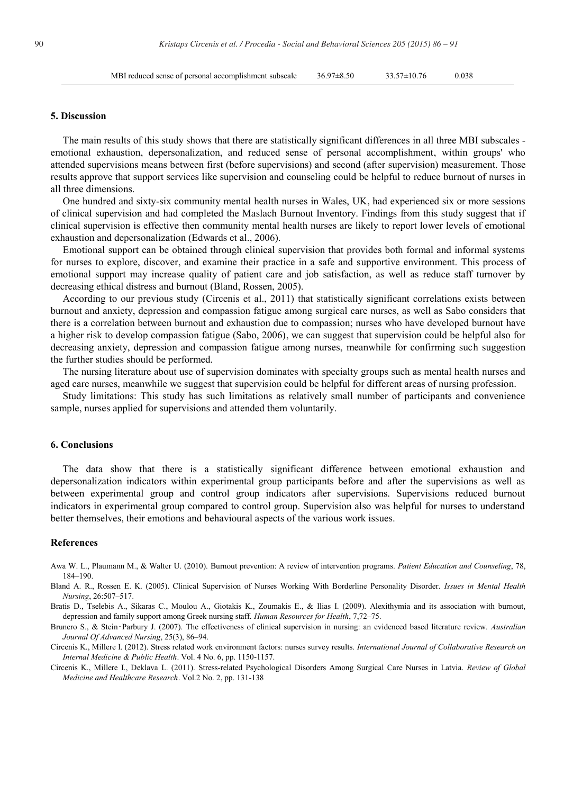#### **5. Discussion**

The main results of this study shows that there are statistically significant differences in all three MBI subscales emotional exhaustion, depersonalization, and reduced sense of personal accomplishment, within groups' who attended supervisions means between first (before supervisions) and second (after supervision) measurement. Those results approve that support services like supervision and counseling could be helpful to reduce burnout of nurses in all three dimensions.

One hundred and sixty-six community mental health nurses in Wales, UK, had experienced six or more sessions of clinical supervision and had completed the Maslach Burnout Inventory. Findings from this study suggest that if clinical supervision is effective then community mental health nurses are likely to report lower levels of emotional exhaustion and depersonalization (Edwards et al., 2006).

Emotional support can be obtained through clinical supervision that provides both formal and informal systems for nurses to explore, discover, and examine their practice in a safe and supportive environment. This process of emotional support may increase quality of patient care and job satisfaction, as well as reduce staff turnover by decreasing ethical distress and burnout (Bland, Rossen, 2005).

According to our previous study (Circenis et al., 2011) that statistically significant correlations exists between burnout and anxiety, depression and compassion fatigue among surgical care nurses, as well as Sabo considers that there is a correlation between burnout and exhaustion due to compassion; nurses who have developed burnout have a higher risk to develop compassion fatigue (Sabo, 2006), we can suggest that supervision could be helpful also for decreasing anxiety, depression and compassion fatigue among nurses, meanwhile for confirming such suggestion the further studies should be performed.

The nursing literature about use of supervision dominates with specialty groups such as mental health nurses and aged care nurses, meanwhile we suggest that supervision could be helpful for different areas of nursing profession.

Study limitations: This study has such limitations as relatively small number of participants and convenience sample, nurses applied for supervisions and attended them voluntarily.

#### **6. Conclusions**

The data show that there is a statistically significant difference between emotional exhaustion and depersonalization indicators within experimental group participants before and after the supervisions as well as between experimental group and control group indicators after supervisions. Supervisions reduced burnout indicators in experimental group compared to control group. Supervision also was helpful for nurses to understand better themselves, their emotions and behavioural aspects of the various work issues.

#### **References**

- Awa W. L., Plaumann M., & Walter U. (2010). Burnout prevention: A review of intervention programs. *Patient Education and Counseling*, 78, 184–190.
- Bland A. R., Rossen E. K. (2005). Clinical Supervision of Nurses Working With Borderline Personality Disorder. *Issues in Mental Health Nursing*, 26:507–517.
- Bratis D., Tselebis A., Sikaras C., Moulou A., Giotakis K., Zoumakis E., & Ilias I. (2009). Alexithymia and its association with burnout, depression and family support among Greek nursing staff. *Human Resources for Health*, 7,72–75.
- Brunero S., & Stein-Parbury J. (2007). The effectiveness of clinical supervision in nursing: an evidenced based literature review. *Australian Journal Of Advanced Nursing*, 25(3), 86–94.
- Circenis K., Millere I. (2012). Stress related work environment factors: nurses survey results. *International Journal of Collaborative Research on Internal Medicine & Public Health*. Vol. 4 No. 6, pp. 1150-1157.

Circenis K., Millere I., Deklava L. (2011). Stress-related Psychological Disorders Among Surgical Care Nurses in Latvia. *Review of Global Medicine and Healthcare Research*. Vol.2 No. 2, pp. 131-138